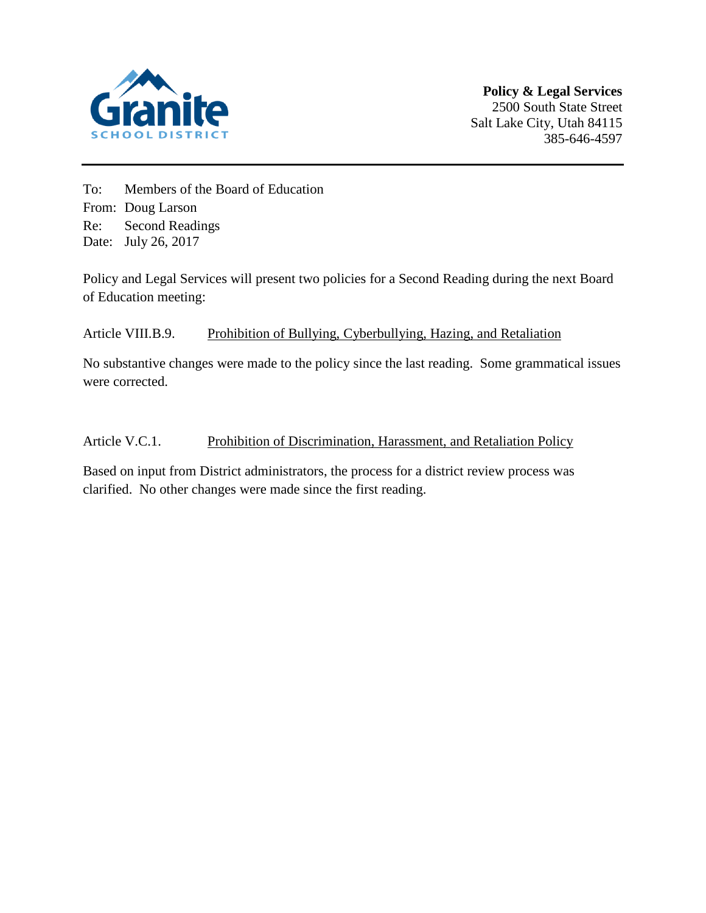

To: Members of the Board of Education From: Doug Larson Re: Second Readings Date: July 26, 2017

Policy and Legal Services will present two policies for a Second Reading during the next Board of Education meeting:

# Article VIII.B.9. Prohibition of Bullying, Cyberbullying, Hazing, and Retaliation

No substantive changes were made to the policy since the last reading. Some grammatical issues were corrected.

# Article V.C.1. Prohibition of Discrimination, Harassment, and Retaliation Policy

Based on input from District administrators, the process for a district review process was clarified. No other changes were made since the first reading.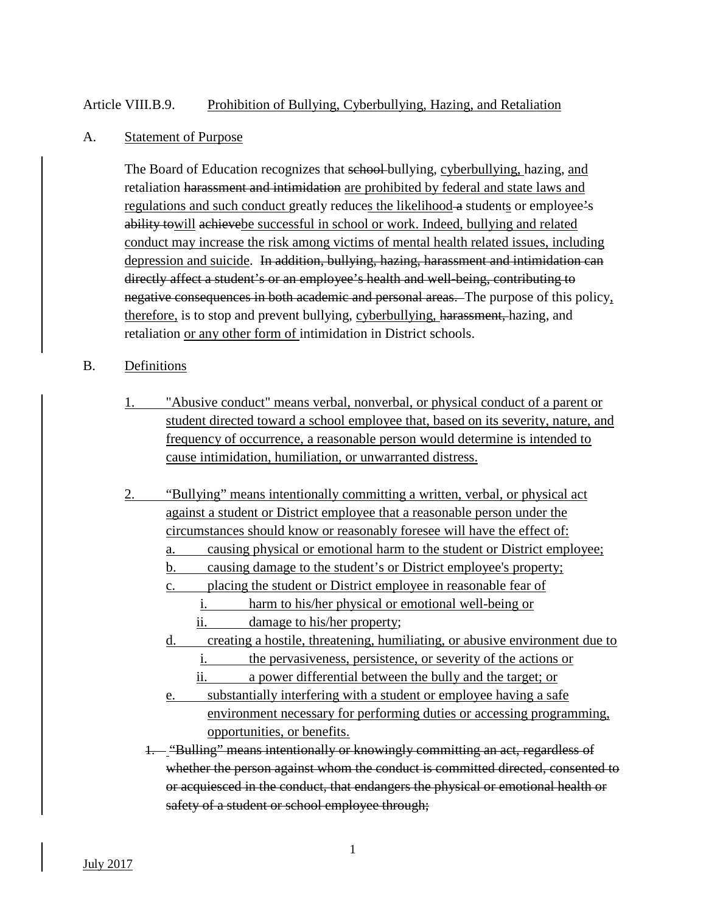## Article VIII.B.9. Prohibition of Bullying, Cyberbullying, Hazing, and Retaliation

#### A. Statement of Purpose

The Board of Education recognizes that school bullying, cyberbullying, hazing, and retaliation harassment and intimidation are prohibited by federal and state laws and regulations and such conduct greatly reduces the likelihood-a students or employee's ability towill achievebe successful in school or work. Indeed, bullying and related conduct may increase the risk among victims of mental health related issues, including depression and suicide. In addition, bullying, hazing, harassment and intimidation can directly affect a student's or an employee's health and well-being, contributing to negative consequences in both academic and personal areas. The purpose of this policy, therefore, is to stop and prevent bullying, cyberbullying, harassment, hazing, and retaliation or any other form of intimidation in District schools.

## B. Definitions

- 1. "Abusive conduct" means verbal, nonverbal, or physical conduct of a parent or student directed toward a school employee that, based on its severity, nature, and frequency of occurrence, a reasonable person would determine is intended to cause intimidation, humiliation, or unwarranted distress.
- 2. "Bullying" means intentionally committing a written, verbal, or physical act against a student or District employee that a reasonable person under the circumstances should know or reasonably foresee will have the effect of:
	- a. causing physical or emotional harm to the student or District employee;
	- b. causing damage to the student's or District employee's property;
	- c. placing the student or District employee in reasonable fear of
		- i. harm to his/her physical or emotional well-being or
			- ii. damage to his/her property;
	- d. creating a hostile, threatening, humiliating, or abusive environment due to
		- i. the pervasiveness, persistence, or severity of the actions or
		- ii. a power differential between the bully and the target; or
	- e. substantially interfering with a student or employee having a safe environment necessary for performing duties or accessing programming, opportunities, or benefits.
	- 1. "Bulling" means intentionally or knowingly committing an act, regardless of whether the person against whom the conduct is committed directed, consented to or acquiesced in the conduct, that endangers the physical or emotional health or safety of a student or school employee through;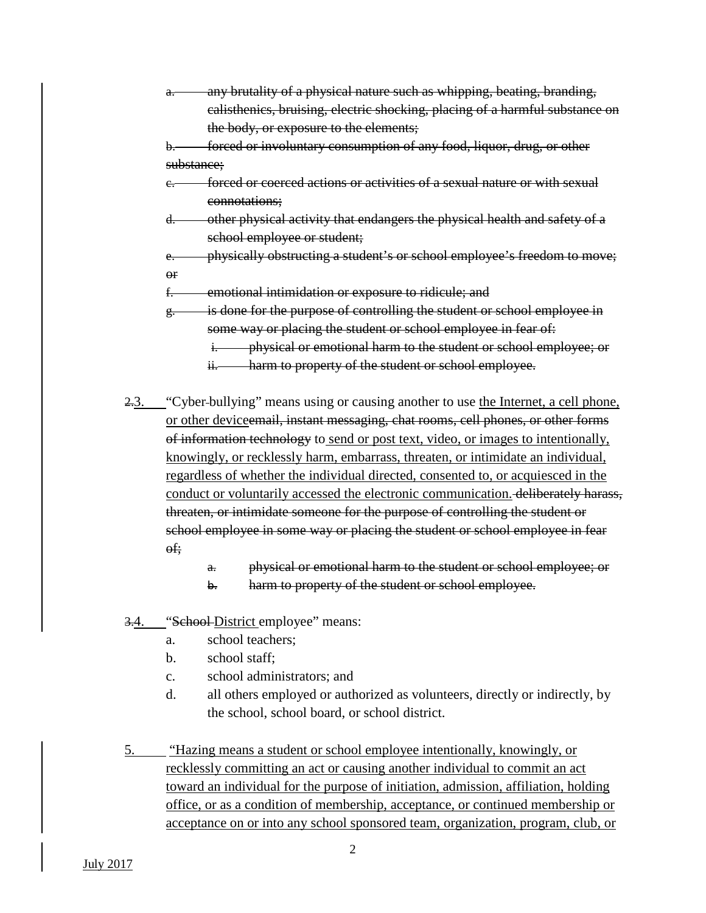any brutality of a physical nature such as whipping, beating, branding, calisthenics, bruising, electric shocking, placing of a harmful substance on the body, or exposure to the elements;

forced or involuntary consumption of any food, liquor, drug, or other substance;

- c. forced or coerced actions or activities of a sexual nature or with sexual connotations;
- d. other physical activity that endangers the physical health and safety of a school employee or student;
- e. physically obstructing a student's or school employee's freedom to move; or

f. emotional intimidation or exposure to ridicule; and

- $g<sub>z</sub>$  is done for the purpose of controlling the student or school employee in some way or placing the student or school employee in fear of:
	- i. physical or emotional harm to the student or school employee; or
	- ii. harm to property of the student or school employee.
- 2.3. "Cyber bullying" means using or causing another to use the Internet, a cell phone, or other deviceemail, instant messaging, chat rooms, cell phones, or other forms of information technology to send or post text, video, or images to intentionally, knowingly, or recklessly harm, embarrass, threaten, or intimidate an individual, regardless of whether the individual directed, consented to, or acquiesced in the conduct or voluntarily accessed the electronic communication. deliberately harass, threaten, or intimidate someone for the purpose of controlling the student or school employee in some way or placing the student or school employee in fear of;
	- a. physical or emotional harm to the student or school employee; or
	- b. harm to property of the student or school employee.
- 3.4. "School-District employee" means:
	- a. school teachers;
	- b. school staff;
	- c. school administrators; and
	- d. all others employed or authorized as volunteers, directly or indirectly, by the school, school board, or school district.
- 5. "Hazing means a student or school employee intentionally, knowingly, or recklessly committing an act or causing another individual to commit an act toward an individual for the purpose of initiation, admission, affiliation, holding office, or as a condition of membership, acceptance, or continued membership or acceptance on or into any school sponsored team, organization, program, club, or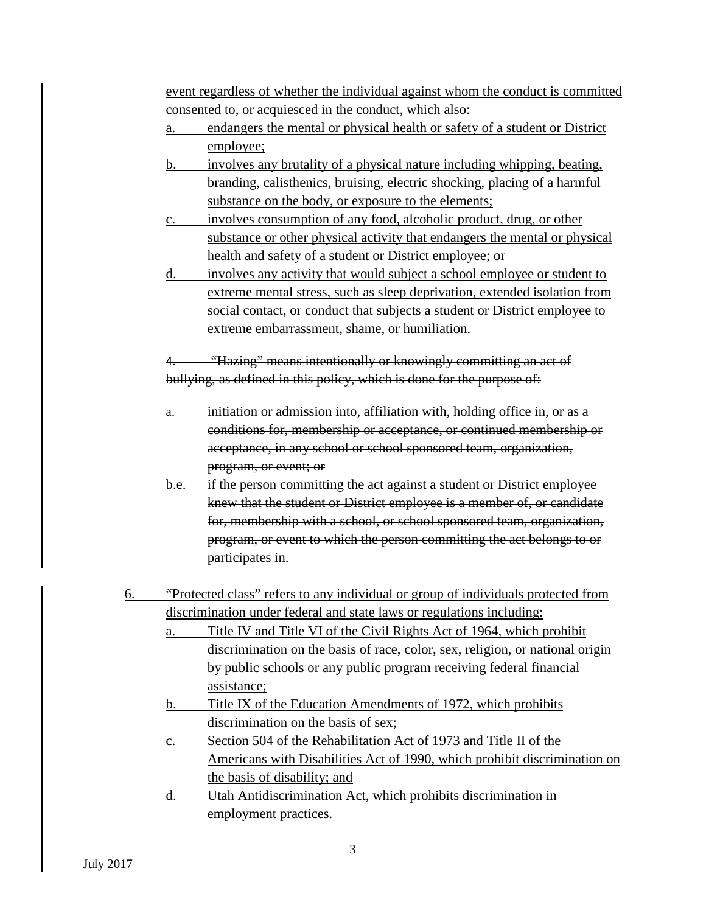event regardless of whether the individual against whom the conduct is committed consented to, or acquiesced in the conduct, which also:

- a. endangers the mental or physical health or safety of a student or District employee;
- b. involves any brutality of a physical nature including whipping, beating, branding, calisthenics, bruising, electric shocking, placing of a harmful substance on the body, or exposure to the elements;
- c. involves consumption of any food, alcoholic product, drug, or other substance or other physical activity that endangers the mental or physical health and safety of a student or District employee; or
- d. involves any activity that would subject a school employee or student to extreme mental stress, such as sleep deprivation, extended isolation from social contact, or conduct that subjects a student or District employee to extreme embarrassment, shame, or humiliation.

"Hazing" means intentionally or knowingly committing an act of bullying, as defined in this policy, which is done for the purpose of:

- initiation or admission into, affiliation with, holding office in, or as a conditions for, membership or acceptance, or continued membership or acceptance, in any school or school sponsored team, organization, program, or event; or
- b.e. if the person committing the act against a student or District employee knew that the student or District employee is a member of, or candidate for, membership with a school, or school sponsored team, organization, program, or event to which the person committing the act belongs to or participates in.
- 6. "Protected class" refers to any individual or group of individuals protected from discrimination under federal and state laws or regulations including:
	- a. Title IV and Title VI of the Civil Rights Act of 1964, which prohibit discrimination on the basis of race, color, sex, religion, or national origin by public schools or any public program receiving federal financial assistance;
	- b. Title IX of the Education Amendments of 1972, which prohibits discrimination on the basis of sex;
	- c. Section 504 of the Rehabilitation Act of 1973 and Title II of the Americans with Disabilities Act of 1990, which prohibit discrimination on the basis of disability; and
	- d. Utah Antidiscrimination Act, which prohibits discrimination in employment practices.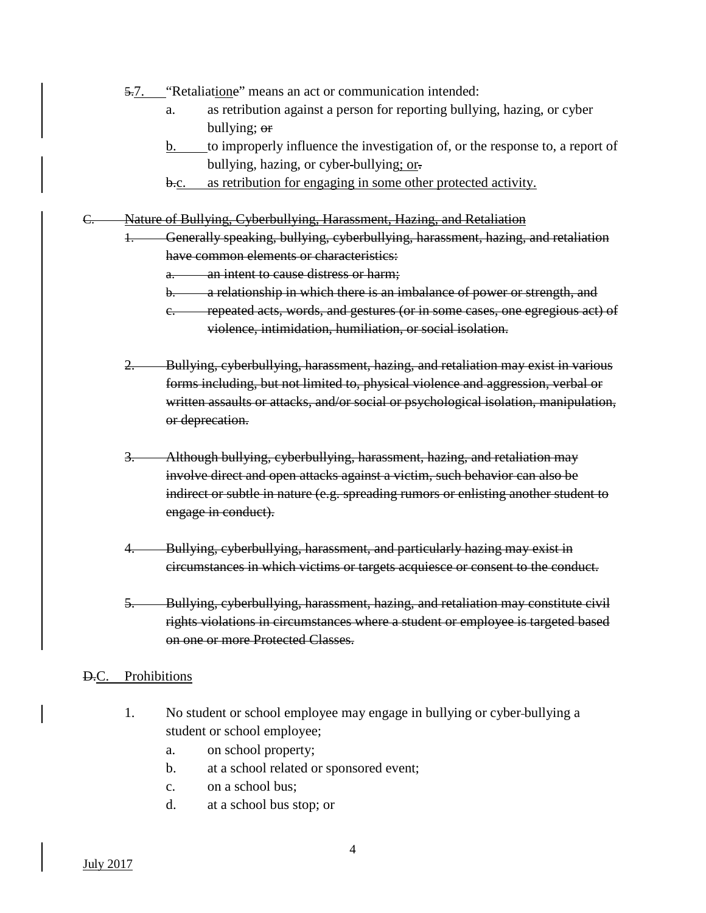- 5.7. "Retaliatione" means an act or communication intended:
	- a. as retribution against a person for reporting bullying, hazing, or cyber bullying; or
	- b. to improperly influence the investigation of, or the response to, a report of bullying, hazing, or cyber bullying; or.
	- b.c. as retribution for engaging in some other protected activity.
- C. Nature of Bullying, Cyberbullying, Harassment, Hazing, and Retaliation
	- 1. Generally speaking, bullying, cyberbullying, harassment, hazing, and retaliation have common elements or characteristics:
		- a. an intent to cause distress or harm;
		- b. a relationship in which there is an imbalance of power or strength, and
		- c. repeated acts, words, and gestures (or in some cases, one egregious act) of violence, intimidation, humiliation, or social isolation.
	- 2. Bullying, cyberbullying, harassment, hazing, and retaliation may exist in various forms including, but not limited to, physical violence and aggression, verbal or written assaults or attacks, and/or social or psychological isolation, manipulation, or deprecation.
	- 3. Although bullying, cyberbullying, harassment, hazing, and retaliation may involve direct and open attacks against a victim, such behavior can also be indirect or subtle in nature (e.g. spreading rumors or enlisting another student to engage in conduct).
	- 4. Bullying, cyberbullying, harassment, and particularly hazing may exist in circumstances in which victims or targets acquiesce or consent to the conduct.
	- 5. Bullying, cyberbullying, harassment, hazing, and retaliation may constitute civil rights violations in circumstances where a student or employee is targeted based on one or more Protected Classes.

#### D.C. Prohibitions

- 1. No student or school employee may engage in bullying or cyber bullying a student or school employee;
	- a. on school property;
	- b. at a school related or sponsored event;
	- c. on a school bus;
	- d. at a school bus stop; or

July 2017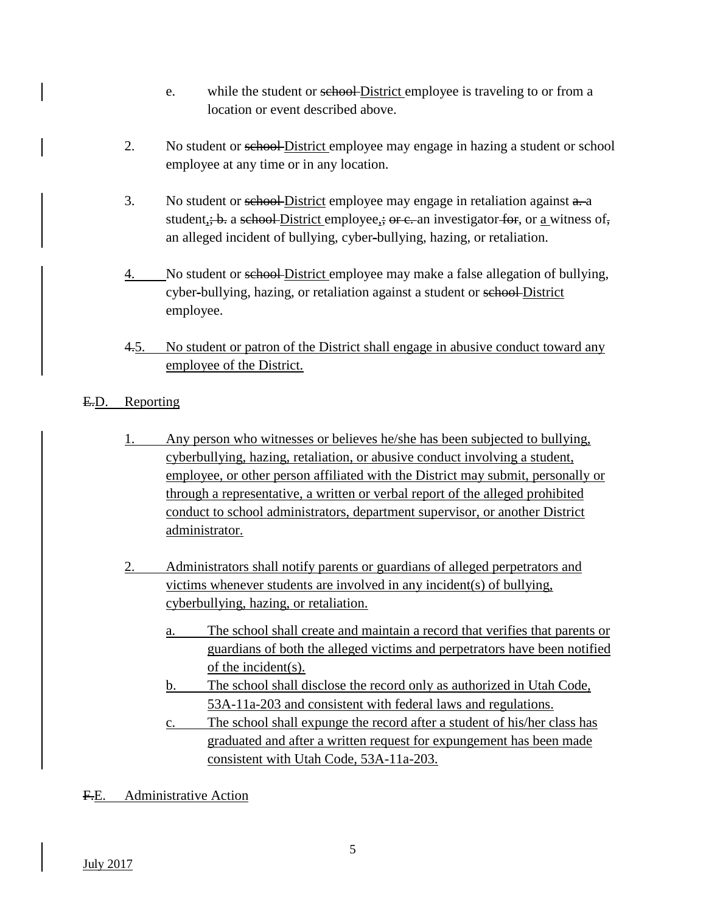- e. while the student or school-District employee is traveling to or from a location or event described above.
- 2. No student or school District employee may engage in hazing a student or school employee at any time or in any location.
- 3. No student or school-District employee may engage in retaliation against  $a$ . student<sub>i</sub>; b. a school District employee<sub>i</sub>; or e. an investigator for, or <u>a</u> witness of, an alleged incident of bullying, cyber-bullying, hazing, or retaliation.
- 4. No student or sehool-District employee may make a false allegation of bullying, cyber-bullying, hazing, or retaliation against a student or school-District employee.
- 4.5. No student or patron of the District shall engage in abusive conduct toward any employee of the District.
- E.D. Reporting
	- 1. Any person who witnesses or believes he/she has been subjected to bullying, cyberbullying, hazing, retaliation, or abusive conduct involving a student, employee, or other person affiliated with the District may submit, personally or through a representative, a written or verbal report of the alleged prohibited conduct to school administrators, department supervisor, or another District administrator.
	- 2. Administrators shall notify parents or guardians of alleged perpetrators and victims whenever students are involved in any incident(s) of bullying, cyberbullying, hazing, or retaliation.
		- a. The school shall create and maintain a record that verifies that parents or guardians of both the alleged victims and perpetrators have been notified of the incident(s).
		- b. The school shall disclose the record only as authorized in Utah Code, 53A-11a-203 and consistent with federal laws and regulations.
		- c. The school shall expunge the record after a student of his/her class has graduated and after a written request for expungement has been made consistent with Utah Code, 53A-11a-203.
- F.E. Administrative Action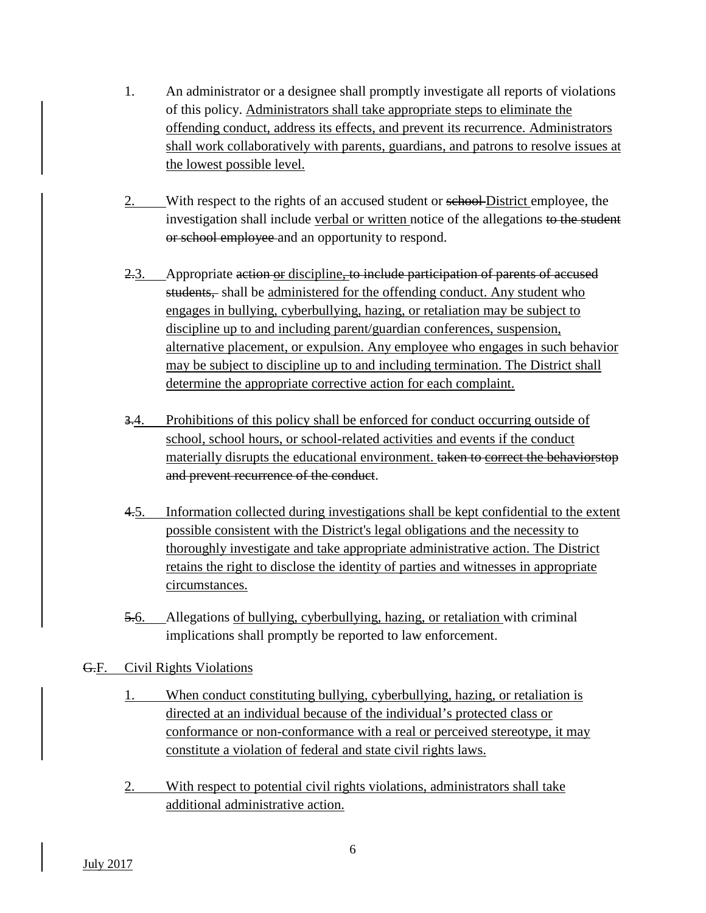- 1. An administrator or a designee shall promptly investigate all reports of violations of this policy. Administrators shall take appropriate steps to eliminate the offending conduct, address its effects, and prevent its recurrence. Administrators shall work collaboratively with parents, guardians, and patrons to resolve issues at the lowest possible level.
- 2. With respect to the rights of an accused student or school-District employee, the investigation shall include verbal or written notice of the allegations to the student or school employee and an opportunity to respond.
- 2.3. Appropriate action or discipline, to include participation of parents of accused students, shall be administered for the offending conduct. Any student who engages in bullying, cyberbullying, hazing, or retaliation may be subject to discipline up to and including parent/guardian conferences, suspension, alternative placement, or expulsion. Any employee who engages in such behavior may be subject to discipline up to and including termination. The District shall determine the appropriate corrective action for each complaint.
- 3.4. Prohibitions of this policy shall be enforced for conduct occurring outside of school, school hours, or school-related activities and events if the conduct materially disrupts the educational environment. taken to correct the behaviorstop and prevent recurrence of the conduct.
- 4.5. Information collected during investigations shall be kept confidential to the extent possible consistent with the District's legal obligations and the necessity to thoroughly investigate and take appropriate administrative action. The District retains the right to disclose the identity of parties and witnesses in appropriate circumstances.
- 5.6. Allegations of bullying, cyberbullying, hazing, or retaliation with criminal implications shall promptly be reported to law enforcement.

# G.F. Civil Rights Violations

- 1. When conduct constituting bullying, cyberbullying, hazing, or retaliation is directed at an individual because of the individual's protected class or conformance or non-conformance with a real or perceived stereotype, it may constitute a violation of federal and state civil rights laws.
- 2. With respect to potential civil rights violations, administrators shall take additional administrative action.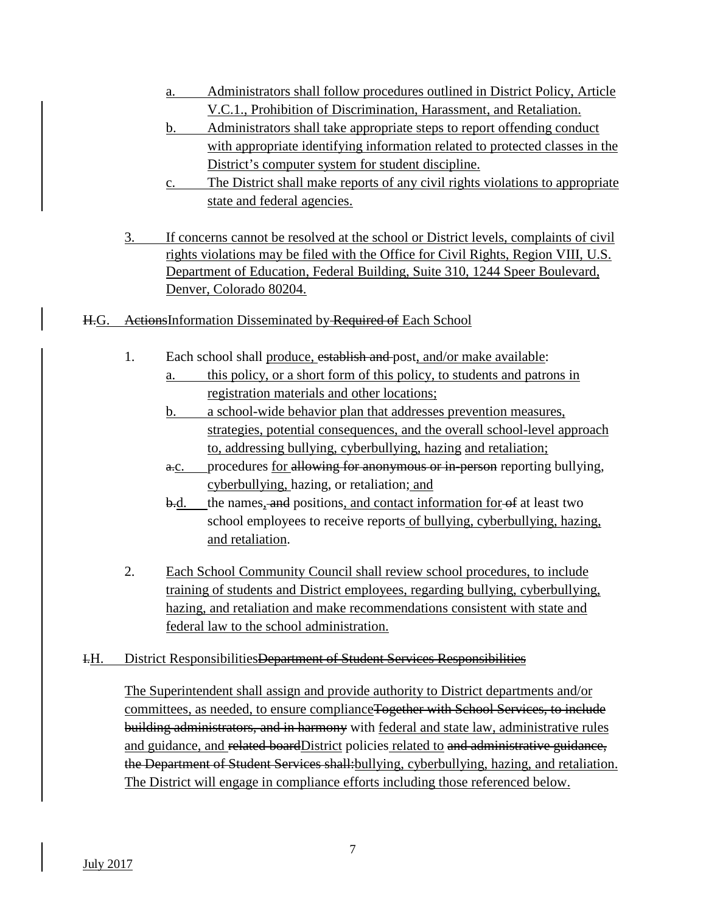- a. Administrators shall follow procedures outlined in District Policy, Article V.C.1., Prohibition of Discrimination, Harassment, and Retaliation.
- b. Administrators shall take appropriate steps to report offending conduct with appropriate identifying information related to protected classes in the District's computer system for student discipline.
- c. The District shall make reports of any civil rights violations to appropriate state and federal agencies.
- 3. If concerns cannot be resolved at the school or District levels, complaints of civil rights violations may be filed with the Office for Civil Rights, Region VIII, U.S. Department of Education, Federal Building, Suite 310, 1244 Speer Boulevard, Denver, Colorado 80204.
- H.G. ActionsInformation Disseminated by Required of Each School
	- 1. Each school shall produce, establish and post, and/or make available:
		- a. this policy, or a short form of this policy, to students and patrons in registration materials and other locations;
		- b. a school-wide behavior plan that addresses prevention measures, strategies, potential consequences, and the overall school-level approach to, addressing bullying, cyberbullying, hazing and retaliation;
		- a.c. procedures for allowing for anonymous or in-person reporting bullying, cyberbullying, hazing, or retaliation; and
		- b.d. the names, and positions, and contact information for of at least two school employees to receive reports of bullying, cyberbullying, hazing, and retaliation.
	- 2. Each School Community Council shall review school procedures, to include training of students and District employees, regarding bullying, cyberbullying, hazing, and retaliation and make recommendations consistent with state and federal law to the school administration.
- I.H. District ResponsibilitiesDepartment of Student Services Responsibilities

The Superintendent shall assign and provide authority to District departments and/or committees, as needed, to ensure complianceTogether with School Services, to include building administrators, and in harmony with federal and state law, administrative rules and guidance, and related boardDistrict policies related to and administrative guidance, the Department of Student Services shall: bullying, cyberbullying, hazing, and retaliation. The District will engage in compliance efforts including those referenced below.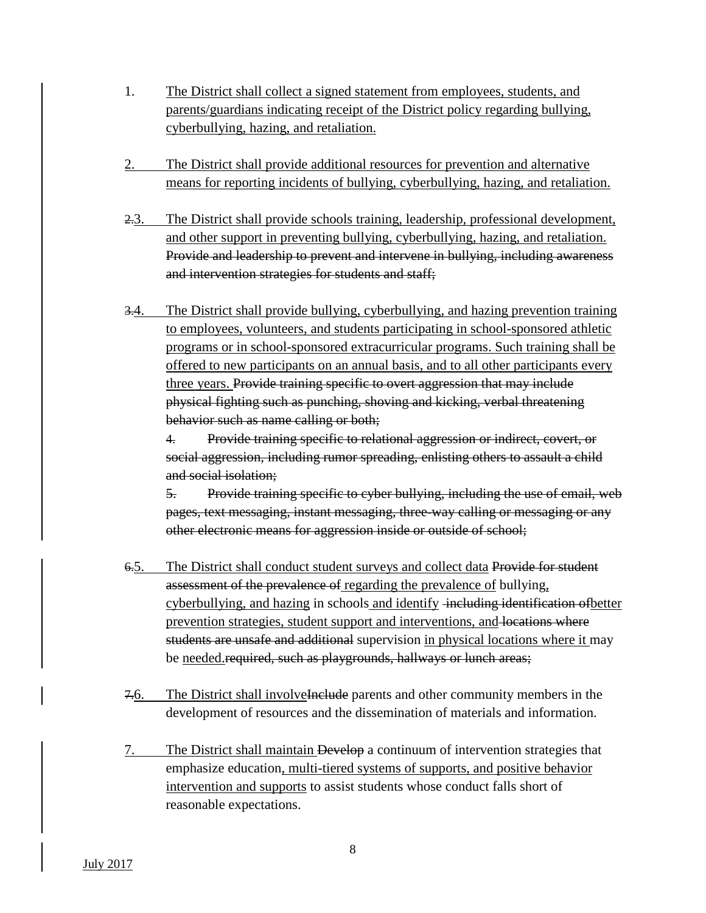- 1. The District shall collect a signed statement from employees, students, and parents/guardians indicating receipt of the District policy regarding bullying, cyberbullying, hazing, and retaliation.
- 2. The District shall provide additional resources for prevention and alternative means for reporting incidents of bullying, cyberbullying, hazing, and retaliation.
- 2.3. The District shall provide schools training, leadership, professional development, and other support in preventing bullying, cyberbullying, hazing, and retaliation. Provide and leadership to prevent and intervene in bullying, including awareness and intervention strategies for students and staff;
- 3.4. The District shall provide bullying, cyberbullying, and hazing prevention training to employees, volunteers, and students participating in school-sponsored athletic programs or in school-sponsored extracurricular programs. Such training shall be offered to new participants on an annual basis, and to all other participants every three years. Provide training specific to overt aggression that may include physical fighting such as punching, shoving and kicking, verbal threatening behavior such as name calling or both;

4. Provide training specific to relational aggression or indirect, covert, or social aggression, including rumor spreading, enlisting others to assault a child and social isolation;

5. Provide training specific to cyber bullying, including the use of email, web pages, text messaging, instant messaging, three-way calling or messaging or any other electronic means for aggression inside or outside of school;

- 6.5. The District shall conduct student surveys and collect data Provide for student assessment of the prevalence of regarding the prevalence of bullying, cyberbullying, and hazing in schools and identify including identification of better prevention strategies, student support and interventions, and locations where students are unsafe and additional supervision in physical locations where it may be needed.required, such as playgrounds, hallways or lunch areas;
- 7.6. The District shall involvel include parents and other community members in the development of resources and the dissemination of materials and information.
- 7. The District shall maintain Develop a continuum of intervention strategies that emphasize education, multi-tiered systems of supports, and positive behavior intervention and supports to assist students whose conduct falls short of reasonable expectations.